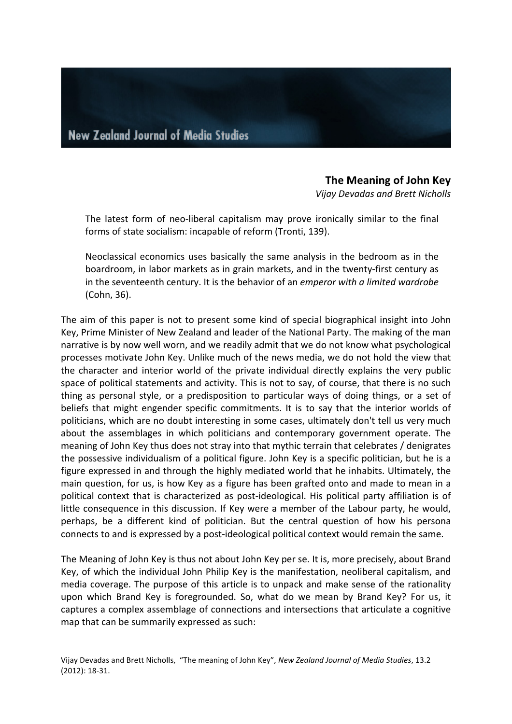**The Meaning of John Key** 

*Vijay Devadas and Brett Nicholls*

The latest form of neo-liberal capitalism may prove ironically similar to the final forms of state socialism: incapable of reform (Tronti, 139).

Neoclassical economics uses basically the same analysis in the bedroom as in the boardroom, in labor markets as in grain markets, and in the twenty-first century as in the seventeenth century. It is the behavior of an *emperor with a limited wardrobe* (Cohn, 36).

The aim of this paper is not to present some kind of special biographical insight into John Key, Prime Minister of New Zealand and leader of the National Party. The making of the man narrative is by now well worn, and we readily admit that we do not know what psychological processes motivate John Key. Unlike much of the news media, we do not hold the view that the character and interior world of the private individual directly explains the very public space of political statements and activity. This is not to say, of course, that there is no such thing as personal style, or a predisposition to particular ways of doing things, or a set of beliefs that might engender specific commitments. It is to say that the interior worlds of politicians, which are no doubt interesting in some cases, ultimately don't tell us very much about the assemblages in which politicians and contemporary government operate. The meaning of John Key thus does not stray into that mythic terrain that celebrates / denigrates the possessive individualism of a political figure. John Key is a specific politician, but he is a figure expressed in and through the highly mediated world that he inhabits. Ultimately, the main question, for us, is how Key as a figure has been grafted onto and made to mean in a political context that is characterized as post-ideological. His political party affiliation is of little consequence in this discussion. If Key were a member of the Labour party, he would, perhaps, be a different kind of politician. But the central question of how his persona connects to and is expressed by a post-ideological political context would remain the same.

The Meaning of John Key is thus not about John Key per se. It is, more precisely, about Brand Key, of which the individual John Philip Key is the manifestation, neoliberal capitalism, and media coverage. The purpose of this article is to unpack and make sense of the rationality upon which Brand Key is foregrounded. So, what do we mean by Brand Key? For us, it captures a complex assemblage of connections and intersections that articulate a cognitive map that can be summarily expressed as such: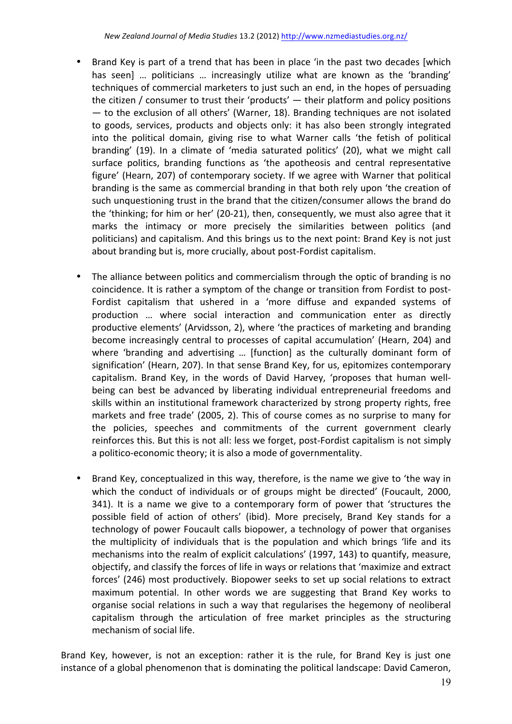- Brand Key is part of a trend that has been in place 'in the past two decades [which has seen] ... politicians ... increasingly utilize what are known as the 'branding' techniques of commercial marketers to just such an end, in the hopes of persuading the citizen / consumer to trust their 'products'  $-$  their platform and policy positions  $-$  to the exclusion of all others' (Warner, 18). Branding techniques are not isolated to goods, services, products and objects only: it has also been strongly integrated into the political domain, giving rise to what Warner calls 'the fetish of political branding' (19). In a climate of 'media saturated politics' (20), what we might call surface politics, branding functions as 'the apotheosis and central representative figure' (Hearn, 207) of contemporary society. If we agree with Warner that political branding is the same as commercial branding in that both rely upon 'the creation of such unquestioning trust in the brand that the citizen/consumer allows the brand do the 'thinking; for him or her' (20-21), then, consequently, we must also agree that it marks the intimacy or more precisely the similarities between politics (and politicians) and capitalism. And this brings us to the next point: Brand Key is not just about branding but is, more crucially, about post-Fordist capitalism.
- The alliance between politics and commercialism through the optic of branding is no coincidence. It is rather a symptom of the change or transition from Fordist to post-Fordist capitalism that ushered in a 'more diffuse and expanded systems of production ... where social interaction and communication enter as directly productive elements' (Arvidsson, 2), where 'the practices of marketing and branding become increasingly central to processes of capital accumulation' (Hearn, 204) and where 'branding and advertising ... [function] as the culturally dominant form of signification' (Hearn, 207). In that sense Brand Key, for us, epitomizes contemporary capitalism. Brand Key, in the words of David Harvey, 'proposes that human wellbeing can best be advanced by liberating individual entrepreneurial freedoms and skills within an institutional framework characterized by strong property rights, free markets and free trade' (2005, 2). This of course comes as no surprise to many for the policies, speeches and commitments of the current government clearly reinforces this. But this is not all: less we forget, post-Fordist capitalism is not simply a politico-economic theory; it is also a mode of governmentality.
- Brand Key, conceptualized in this way, therefore, is the name we give to 'the way in which the conduct of individuals or of groups might be directed' (Foucault, 2000, 341). It is a name we give to a contemporary form of power that 'structures the possible field of action of others' (ibid). More precisely, Brand Key stands for a technology of power Foucault calls biopower, a technology of power that organises the multiplicity of individuals that is the population and which brings 'life and its mechanisms into the realm of explicit calculations' (1997, 143) to quantify, measure, objectify, and classify the forces of life in ways or relations that 'maximize and extract forces' (246) most productively. Biopower seeks to set up social relations to extract maximum potential. In other words we are suggesting that Brand Key works to organise social relations in such a way that regularises the hegemony of neoliberal capitalism through the articulation of free market principles as the structuring mechanism of social life.

Brand Key, however, is not an exception: rather it is the rule, for Brand Key is just one instance of a global phenomenon that is dominating the political landscape: David Cameron,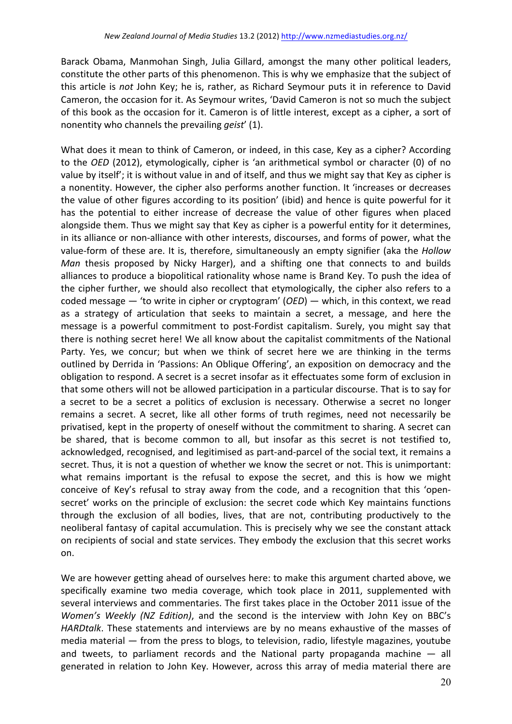Barack Obama, Manmohan Singh, Julia Gillard, amongst the many other political leaders, constitute the other parts of this phenomenon. This is why we emphasize that the subject of this article is *not* John Key; he is, rather, as Richard Seymour puts it in reference to David Cameron, the occasion for it. As Seymour writes, 'David Cameron is not so much the subject of this book as the occasion for it. Cameron is of little interest, except as a cipher, a sort of nonentity who channels the prevailing *geist'* (1).

What does it mean to think of Cameron, or indeed, in this case, Key as a cipher? According to the *OED* (2012), etymologically, cipher is 'an arithmetical symbol or character (0) of no value by itself'; it is without value in and of itself, and thus we might say that Key as cipher is a nonentity. However, the cipher also performs another function. It 'increases or decreases the value of other figures according to its position' (ibid) and hence is quite powerful for it has the potential to either increase of decrease the value of other figures when placed alongside them. Thus we might say that Key as cipher is a powerful entity for it determines, in its alliance or non-alliance with other interests, discourses, and forms of power, what the value-form of these are. It is, therefore, simultaneously an empty signifier (aka the *Hollow Man* thesis proposed by Nicky Harger), and a shifting one that connects to and builds alliances to produce a biopolitical rationality whose name is Brand Key. To push the idea of the cipher further, we should also recollect that etymologically, the cipher also refers to a coded message — 'to write in cipher or cryptogram' (*OED*) — which, in this context, we read as a strategy of articulation that seeks to maintain a secret, a message, and here the message is a powerful commitment to post-Fordist capitalism. Surely, you might say that there is nothing secret here! We all know about the capitalist commitments of the National Party. Yes, we concur; but when we think of secret here we are thinking in the terms outlined by Derrida in 'Passions: An Oblique Offering', an exposition on democracy and the obligation to respond. A secret is a secret insofar as it effectuates some form of exclusion in that some others will not be allowed participation in a particular discourse. That is to say for a secret to be a secret a politics of exclusion is necessary. Otherwise a secret no longer remains a secret. A secret, like all other forms of truth regimes, need not necessarily be privatised, kept in the property of oneself without the commitment to sharing. A secret can be shared, that is become common to all, but insofar as this secret is not testified to, acknowledged, recognised, and legitimised as part-and-parcel of the social text, it remains a secret. Thus, it is not a question of whether we know the secret or not. This is unimportant: what remains important is the refusal to expose the secret, and this is how we might conceive of Key's refusal to stray away from the code, and a recognition that this 'opensecret' works on the principle of exclusion: the secret code which Key maintains functions through the exclusion of all bodies, lives, that are not, contributing productively to the neoliberal fantasy of capital accumulation. This is precisely why we see the constant attack on recipients of social and state services. They embody the exclusion that this secret works on.

We are however getting ahead of ourselves here: to make this argument charted above, we specifically examine two media coverage, which took place in 2011, supplemented with several interviews and commentaries. The first takes place in the October 2011 issue of the *Women's Weekly* (NZ Edition), and the second is the interview with John Key on BBC's *HARDtalk*. These statements and interviews are by no means exhaustive of the masses of media material  $-$  from the press to blogs, to television, radio, lifestyle magazines, youtube and tweets, to parliament records and the National party propaganda machine  $-$  all generated in relation to John Key. However, across this array of media material there are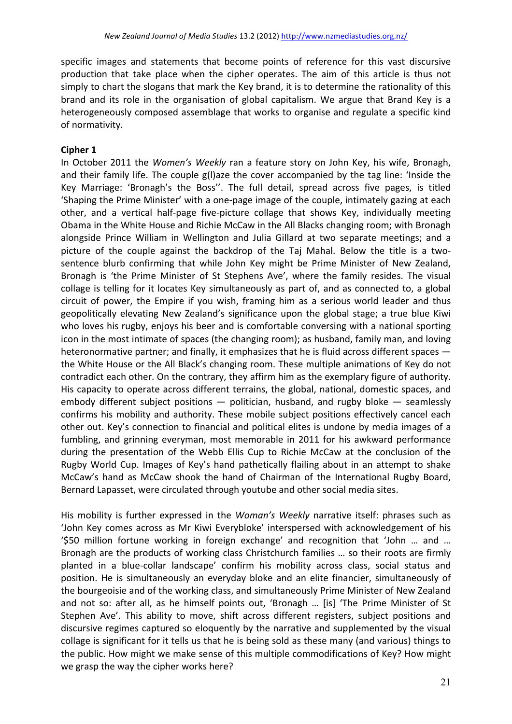specific images and statements that become points of reference for this vast discursive production that take place when the cipher operates. The aim of this article is thus not simply to chart the slogans that mark the Key brand, it is to determine the rationality of this brand and its role in the organisation of global capitalism. We argue that Brand Key is a heterogeneously composed assemblage that works to organise and regulate a specific kind of normativity.

## **Cipher 1**

In October 2011 the *Women's* Weekly ran a feature story on John Key, his wife, Bronagh, and their family life. The couple  $g(1)$  aze the cover accompanied by the tag line: 'Inside the Key Marriage: 'Bronagh's the Boss''. The full detail, spread across five pages, is titled 'Shaping the Prime Minister' with a one-page image of the couple, intimately gazing at each other, and a vertical half-page five-picture collage that shows Key, individually meeting Obama in the White House and Richie McCaw in the All Blacks changing room; with Bronagh alongside Prince William in Wellington and Julia Gillard at two separate meetings; and a picture of the couple against the backdrop of the Taj Mahal. Below the title is a twosentence blurb confirming that while John Key might be Prime Minister of New Zealand, Bronagh is 'the Prime Minister of St Stephens Ave', where the family resides. The visual collage is telling for it locates Key simultaneously as part of, and as connected to, a global circuit of power, the Empire if you wish, framing him as a serious world leader and thus geopolitically elevating New Zealand's significance upon the global stage; a true blue Kiwi who loves his rugby, enjoys his beer and is comfortable conversing with a national sporting icon in the most intimate of spaces (the changing room); as husband, family man, and loving heteronormative partner; and finally, it emphasizes that he is fluid across different spaces  $$ the White House or the All Black's changing room. These multiple animations of Key do not contradict each other. On the contrary, they affirm him as the exemplary figure of authority. His capacity to operate across different terrains, the global, national, domestic spaces, and embody different subject positions  $-$  politician, husband, and rugby bloke  $-$  seamlessly confirms his mobility and authority. These mobile subject positions effectively cancel each other out. Key's connection to financial and political elites is undone by media images of a fumbling, and grinning everyman, most memorable in 2011 for his awkward performance during the presentation of the Webb Ellis Cup to Richie McCaw at the conclusion of the Rugby World Cup. Images of Key's hand pathetically flailing about in an attempt to shake McCaw's hand as McCaw shook the hand of Chairman of the International Rugby Board, Bernard Lapasset, were circulated through youtube and other social media sites.

His mobility is further expressed in the *Woman's Weekly* narrative itself: phrases such as 'John Key comes across as Mr Kiwi Everybloke' interspersed with acknowledgement of his '\$50 million fortune working in foreign exchange' and recognition that 'John ... and ... Bronagh are the products of working class Christchurch families ... so their roots are firmly planted in a blue-collar landscape' confirm his mobility across class, social status and position. He is simultaneously an everyday bloke and an elite financier, simultaneously of the bourgeoisie and of the working class, and simultaneously Prime Minister of New Zealand and not so: after all, as he himself points out, 'Bronagh ... [is] 'The Prime Minister of St Stephen Ave'. This ability to move, shift across different registers, subject positions and discursive regimes captured so eloquently by the narrative and supplemented by the visual collage is significant for it tells us that he is being sold as these many (and various) things to the public. How might we make sense of this multiple commodifications of Key? How might we grasp the way the cipher works here?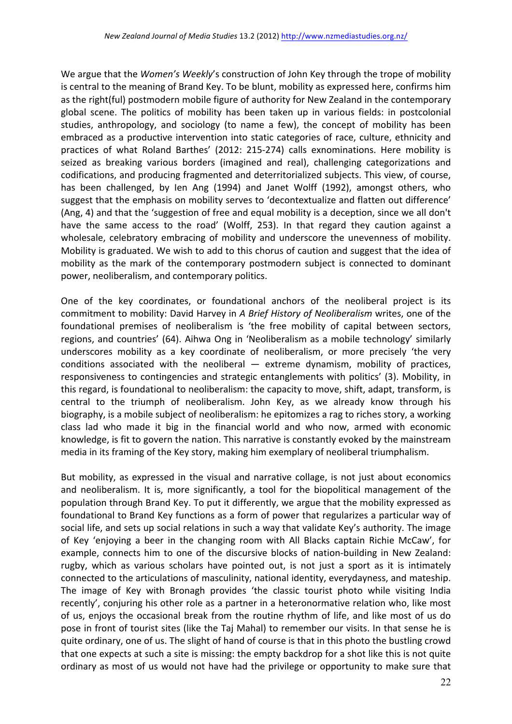We argue that the *Women's* Weekly's construction of John Key through the trope of mobility is central to the meaning of Brand Key. To be blunt, mobility as expressed here, confirms him as the right(ful) postmodern mobile figure of authority for New Zealand in the contemporary global scene. The politics of mobility has been taken up in various fields: in postcolonial studies, anthropology, and sociology (to name a few), the concept of mobility has been embraced as a productive intervention into static categories of race, culture, ethnicity and practices of what Roland Barthes' (2012: 215-274) calls exnominations. Here mobility is seized as breaking various borders (imagined and real), challenging categorizations and codifications, and producing fragmented and deterritorialized subjects. This view, of course, has been challenged, by len Ang (1994) and Janet Wolff (1992), amongst others, who suggest that the emphasis on mobility serves to 'decontextualize and flatten out difference' (Ang, 4) and that the 'suggestion of free and equal mobility is a deception, since we all don't have the same access to the road' (Wolff, 253). In that regard they caution against a wholesale, celebratory embracing of mobility and underscore the unevenness of mobility. Mobility is graduated. We wish to add to this chorus of caution and suggest that the idea of mobility as the mark of the contemporary postmodern subject is connected to dominant power, neoliberalism, and contemporary politics.

One of the key coordinates, or foundational anchors of the neoliberal project is its commitment to mobility: David Harvey in *A Brief History of Neoliberalism* writes, one of the foundational premises of neoliberalism is 'the free mobility of capital between sectors, regions, and countries' (64). Aihwa Ong in 'Neoliberalism as a mobile technology' similarly underscores mobility as a key coordinate of neoliberalism, or more precisely 'the very conditions associated with the neoliberal  $-$  extreme dynamism, mobility of practices, responsiveness to contingencies and strategic entanglements with politics' (3). Mobility, in this regard, is foundational to neoliberalism: the capacity to move, shift, adapt, transform, is central to the triumph of neoliberalism. John Key, as we already know through his biography, is a mobile subject of neoliberalism: he epitomizes a rag to riches story, a working class lad who made it big in the financial world and who now, armed with economic knowledge, is fit to govern the nation. This narrative is constantly evoked by the mainstream media in its framing of the Key story, making him exemplary of neoliberal triumphalism.

But mobility, as expressed in the visual and narrative collage, is not just about economics and neoliberalism. It is, more significantly, a tool for the biopolitical management of the population through Brand Key. To put it differently, we argue that the mobility expressed as foundational to Brand Key functions as a form of power that regularizes a particular way of social life, and sets up social relations in such a way that validate Key's authority. The image of Key 'enjoying a beer in the changing room with All Blacks captain Richie McCaw', for example, connects him to one of the discursive blocks of nation-building in New Zealand: rugby, which as various scholars have pointed out, is not just a sport as it is intimately connected to the articulations of masculinity, national identity, everydayness, and mateship. The image of Key with Bronagh provides 'the classic tourist photo while visiting India recently', conjuring his other role as a partner in a heteronormative relation who, like most of us, enjoys the occasional break from the routine rhythm of life, and like most of us do pose in front of tourist sites (like the Taj Mahal) to remember our visits. In that sense he is quite ordinary, one of us. The slight of hand of course is that in this photo the bustling crowd that one expects at such a site is missing: the empty backdrop for a shot like this is not quite ordinary as most of us would not have had the privilege or opportunity to make sure that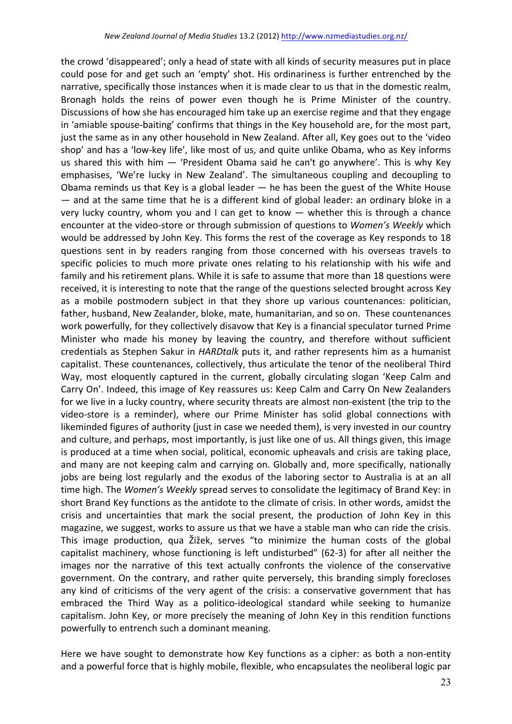the crowd 'disappeared'; only a head of state with all kinds of security measures put in place could pose for and get such an 'empty' shot. His ordinariness is further entrenched by the narrative, specifically those instances when it is made clear to us that in the domestic realm, Bronagh holds the reins of power even though he is Prime Minister of the country. Discussions of how she has encouraged him take up an exercise regime and that they engage in 'amiable spouse-baiting' confirms that things in the Key household are, for the most part, just the same as in any other household in New Zealand. After all, Key goes out to the 'video shop' and has a 'low-key life', like most of us, and quite unlike Obama, who as Key informs us shared this with him  $-$  'President Obama said he can't go anywhere'. This is why Key emphasises, 'We're lucky in New Zealand'. The simultaneous coupling and decoupling to Obama reminds us that Key is a global leader  $-$  he has been the guest of the White House — and at the same time that he is a different kind of global leader: an ordinary bloke in a very lucky country, whom you and I can get to know  $-$  whether this is through a chance encounter at the video-store or through submission of questions to *Women's Weekly* which would be addressed by John Key. This forms the rest of the coverage as Key responds to 18 questions sent in by readers ranging from those concerned with his overseas travels to specific policies to much more private ones relating to his relationship with his wife and family and his retirement plans. While it is safe to assume that more than 18 questions were received, it is interesting to note that the range of the questions selected brought across Key as a mobile postmodern subject in that they shore up various countenances: politician, father, husband, New Zealander, bloke, mate, humanitarian, and so on. These countenances work powerfully, for they collectively disavow that Key is a financial speculator turned Prime Minister who made his money by leaving the country, and therefore without sufficient credentials as Stephen Sakur in *HARDtalk* puts it, and rather represents him as a humanist capitalist. These countenances, collectively, thus articulate the tenor of the neoliberal Third Way, most eloquently captured in the current, globally circulating slogan 'Keep Calm and Carry On'. Indeed, this image of Key reassures us: Keep Calm and Carry On New Zealanders for we live in a lucky country, where security threats are almost non-existent (the trip to the video-store is a reminder), where our Prime Minister has solid global connections with likeminded figures of authority (just in case we needed them), is very invested in our country and culture, and perhaps, most importantly, is just like one of us. All things given, this image is produced at a time when social, political, economic upheavals and crisis are taking place, and many are not keeping calm and carrying on. Globally and, more specifically, nationally jobs are being lost regularly and the exodus of the laboring sector to Australia is at an all time high. The *Women's Weekly* spread serves to consolidate the legitimacy of Brand Key: in short Brand Key functions as the antidote to the climate of crisis. In other words, amidst the crisis and uncertainties that mark the social present, the production of John Key in this magazine, we suggest, works to assure us that we have a stable man who can ride the crisis. This image production, qua Žižek, serves "to minimize the human costs of the global capitalist machinery, whose functioning is left undisturbed" (62-3) for after all neither the images nor the narrative of this text actually confronts the violence of the conservative government. On the contrary, and rather quite perversely, this branding simply forecloses any kind of criticisms of the very agent of the crisis: a conservative government that has embraced the Third Way as a politico-ideological standard while seeking to humanize capitalism. John Key, or more precisely the meaning of John Key in this rendition functions powerfully to entrench such a dominant meaning.

Here we have sought to demonstrate how Key functions as a cipher: as both a non-entity and a powerful force that is highly mobile, flexible, who encapsulates the neoliberal logic par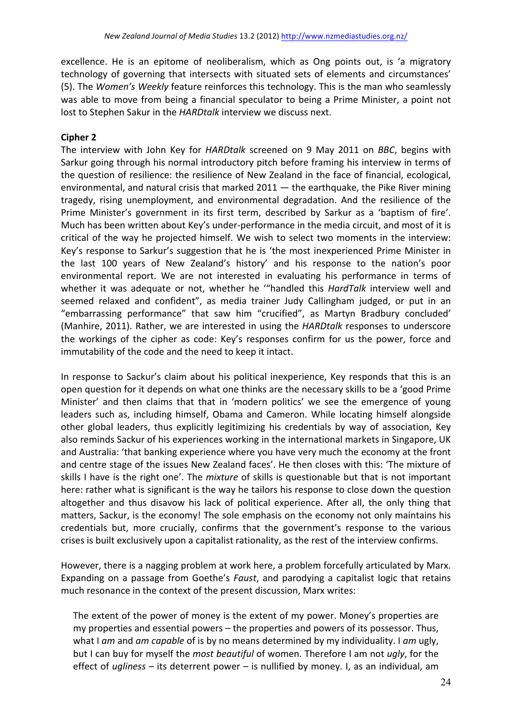excellence. He is an epitome of neoliberalism, which as Ong points out, is 'a migratory technology of governing that intersects with situated sets of elements and circumstances' (5). The *Women's Weekly* feature reinforces this technology. This is the man who seamlessly was able to move from being a financial speculator to being a Prime Minister, a point not lost to Stephen Sakur in the HARDtalk interview we discuss next.

## **Cipher 2**

The interview with John Key for *HARDtalk* screened on 9 May 2011 on *BBC*, begins with Sarkur going through his normal introductory pitch before framing his interview in terms of the question of resilience: the resilience of New Zealand in the face of financial, ecological, environmental, and natural crisis that marked  $2011 -$  the earthquake, the Pike River mining tragedy, rising unemployment, and environmental degradation. And the resilience of the Prime Minister's government in its first term, described by Sarkur as a 'baptism of fire'. Much has been written about Key's under-performance in the media circuit, and most of it is critical of the way he projected himself. We wish to select two moments in the interview: Key's response to Sarkur's suggestion that he is 'the most inexperienced Prime Minister in the last 100 years of New Zealand's history' and his response to the nation's poor environmental report. We are not interested in evaluating his performance in terms of whether it was adequate or not, whether he "handled this *HardTalk* interview well and seemed relaxed and confident", as media trainer Judy Callingham judged, or put in an "embarrassing performance" that saw him "crucified", as Martyn Bradbury concluded' (Manhire, 2011). Rather, we are interested in using the *HARDtalk* responses to underscore the workings of the cipher as code: Key's responses confirm for us the power, force and immutability of the code and the need to keep it intact.

In response to Sackur's claim about his political inexperience, Key responds that this is an open question for it depends on what one thinks are the necessary skills to be a 'good Prime Minister' and then claims that that in 'modern politics' we see the emergence of young leaders such as, including himself, Obama and Cameron. While locating himself alongside other global leaders, thus explicitly legitimizing his credentials by way of association, Key also reminds Sackur of his experiences working in the international markets in Singapore, UK and Australia: 'that banking experience where you have very much the economy at the front and centre stage of the issues New Zealand faces'. He then closes with this: 'The mixture of skills I have is the right one'. The *mixture* of skills is questionable but that is not important here: rather what is significant is the way he tailors his response to close down the question altogether and thus disavow his lack of political experience. After all, the only thing that matters, Sackur, is the economy! The sole emphasis on the economy not only maintains his credentials but, more crucially, confirms that the government's response to the various crises is built exclusively upon a capitalist rationality, as the rest of the interview confirms.

However, there is a nagging problem at work here, a problem forcefully articulated by Marx. Expanding on a passage from Goethe's *Faust*, and parodying a capitalist logic that retains much resonance in the context of the present discussion, Marx writes:

The extent of the power of money is the extent of my power. Money's properties are my properties and essential powers – the properties and powers of its possessor. Thus, what I *am* and *am capable* of is by no means determined by my individuality. I *am* ugly, but I can buy for myself the *most beautiful* of women. Therefore I am not *ugly*, for the effect of *ugliness* – its deterrent power – is nullified by money. I, as an individual, am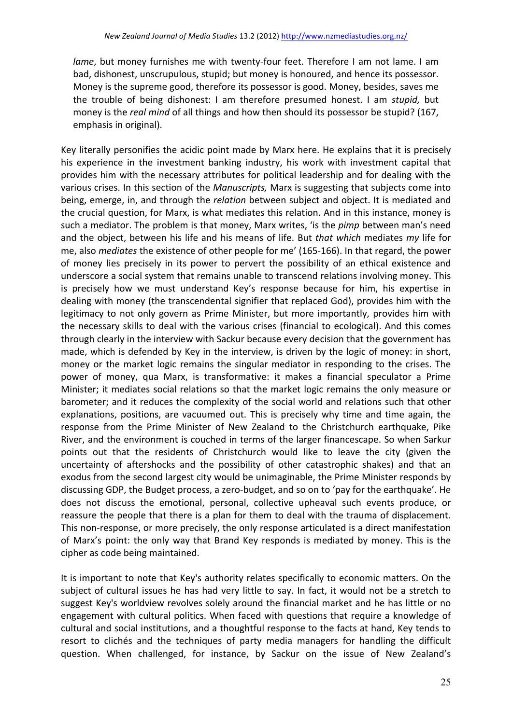*lame*, but money furnishes me with twenty-four feet. Therefore I am not lame. I am bad, dishonest, unscrupulous, stupid; but money is honoured, and hence its possessor. Money is the supreme good, therefore its possessor is good. Money, besides, saves me the trouble of being dishonest: I am therefore presumed honest. I am *stupid*, but money is the *real mind* of all things and how then should its possessor be stupid? (167, emphasis in original).

Key literally personifies the acidic point made by Marx here. He explains that it is precisely his experience in the investment banking industry, his work with investment capital that provides him with the necessary attributes for political leadership and for dealing with the various crises. In this section of the *Manuscripts*, Marx is suggesting that subjects come into being, emerge, in, and through the *relation* between subject and object. It is mediated and the crucial question, for Marx, is what mediates this relation. And in this instance, money is such a mediator. The problem is that money, Marx writes, 'is the *pimp* between man's need and the object, between his life and his means of life. But *that which* mediates *my* life for me, also *mediates* the existence of other people for me' (165-166). In that regard, the power of money lies precisely in its power to pervert the possibility of an ethical existence and underscore a social system that remains unable to transcend relations involving money. This is precisely how we must understand Key's response because for him, his expertise in dealing with money (the transcendental signifier that replaced God), provides him with the legitimacy to not only govern as Prime Minister, but more importantly, provides him with the necessary skills to deal with the various crises (financial to ecological). And this comes through clearly in the interview with Sackur because every decision that the government has made, which is defended by Key in the interview, is driven by the logic of money: in short, money or the market logic remains the singular mediator in responding to the crises. The power of money, qua Marx, is transformative: it makes a financial speculator a Prime Minister; it mediates social relations so that the market logic remains the only measure or barometer; and it reduces the complexity of the social world and relations such that other explanations, positions, are vacuumed out. This is precisely why time and time again, the response from the Prime Minister of New Zealand to the Christchurch earthquake, Pike River, and the environment is couched in terms of the larger financescape. So when Sarkur points out that the residents of Christchurch would like to leave the city (given the uncertainty of aftershocks and the possibility of other catastrophic shakes) and that an exodus from the second largest city would be unimaginable, the Prime Minister responds by discussing GDP, the Budget process, a zero-budget, and so on to 'pay for the earthquake'. He does not discuss the emotional, personal, collective upheaval such events produce, or reassure the people that there is a plan for them to deal with the trauma of displacement. This non-response, or more precisely, the only response articulated is a direct manifestation of Marx's point: the only way that Brand Key responds is mediated by money. This is the cipher as code being maintained.

It is important to note that Key's authority relates specifically to economic matters. On the subject of cultural issues he has had very little to say. In fact, it would not be a stretch to suggest Key's worldview revolves solely around the financial market and he has little or no engagement with cultural politics. When faced with questions that require a knowledge of cultural and social institutions, and a thoughtful response to the facts at hand, Key tends to resort to clichés and the techniques of party media managers for handling the difficult question. When challenged, for instance, by Sackur on the issue of New Zealand's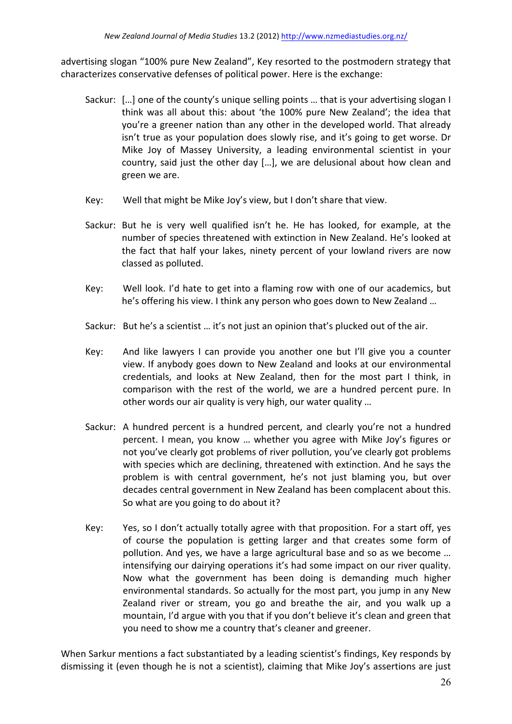advertising slogan "100% pure New Zealand", Key resorted to the postmodern strategy that characterizes conservative defenses of political power. Here is the exchange:

- Sackur:  $[\dots]$  one of the county's unique selling points  $\dots$  that is your advertising slogan I think was all about this: about 'the 100% pure New Zealand'; the idea that you're a greener nation than any other in the developed world. That already isn't true as your population does slowly rise, and it's going to get worse. Dr Mike Joy of Massey University, a leading environmental scientist in your country, said just the other day [...], we are delusional about how clean and green we are.
- Key: Well that might be Mike Joy's view, but I don't share that view.
- Sackur: But he is very well qualified isn't he. He has looked, for example, at the number of species threatened with extinction in New Zealand. He's looked at the fact that half your lakes, ninety percent of your lowland rivers are now classed as polluted.
- Key: Well look. I'd hate to get into a flaming row with one of our academics, but he's offering his view. I think any person who goes down to New Zealand ...
- Sackur: But he's a scientist ... it's not just an opinion that's plucked out of the air.
- Key: And like lawyers I can provide you another one but I'll give you a counter view. If anybody goes down to New Zealand and looks at our environmental credentials, and looks at New Zealand, then for the most part I think, in comparison with the rest of the world, we are a hundred percent pure. In other words our air quality is very high, our water quality ...
- Sackur: A hundred percent is a hundred percent, and clearly you're not a hundred percent. I mean, you know ... whether you agree with Mike Joy's figures or not you've clearly got problems of river pollution, you've clearly got problems with species which are declining, threatened with extinction. And he says the problem is with central government, he's not just blaming you, but over decades central government in New Zealand has been complacent about this. So what are you going to do about it?
- Key: Yes, so I don't actually totally agree with that proposition. For a start off, yes of course the population is getting larger and that creates some form of pollution. And yes, we have a large agricultural base and so as we become ... intensifying our dairying operations it's had some impact on our river quality. Now what the government has been doing is demanding much higher environmental standards. So actually for the most part, you jump in any New Zealand river or stream, you go and breathe the air, and you walk up a mountain, I'd argue with you that if you don't believe it's clean and green that you need to show me a country that's cleaner and greener.

When Sarkur mentions a fact substantiated by a leading scientist's findings, Key responds by dismissing it (even though he is not a scientist), claiming that Mike Joy's assertions are just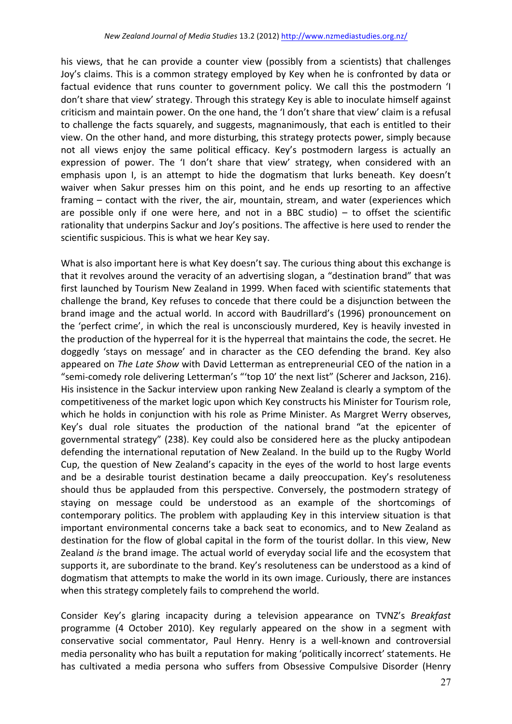his views, that he can provide a counter view (possibly from a scientists) that challenges Joy's claims. This is a common strategy employed by Key when he is confronted by data or factual evidence that runs counter to government policy. We call this the postmodern 'I don't share that view' strategy. Through this strategy Key is able to inoculate himself against criticism and maintain power. On the one hand, the 'I don't share that view' claim is a refusal to challenge the facts squarely, and suggests, magnanimously, that each is entitled to their view. On the other hand, and more disturbing, this strategy protects power, simply because not all views enjoy the same political efficacy. Key's postmodern largess is actually an expression of power. The 'I don't share that view' strategy, when considered with an emphasis upon I, is an attempt to hide the dogmatism that lurks beneath. Key doesn't waiver when Sakur presses him on this point, and he ends up resorting to an affective framing – contact with the river, the air, mountain, stream, and water (experiences which are possible only if one were here, and not in a BBC studio) – to offset the scientific rationality that underpins Sackur and Joy's positions. The affective is here used to render the scientific suspicious. This is what we hear Key say.

What is also important here is what Key doesn't say. The curious thing about this exchange is that it revolves around the veracity of an advertising slogan, a "destination brand" that was first launched by Tourism New Zealand in 1999. When faced with scientific statements that challenge the brand, Key refuses to concede that there could be a disjunction between the brand image and the actual world. In accord with Baudrillard's (1996) pronouncement on the 'perfect crime', in which the real is unconsciously murdered, Key is heavily invested in the production of the hyperreal for it is the hyperreal that maintains the code, the secret. He doggedly 'stays on message' and in character as the CEO defending the brand. Key also appeared on *The Late Show* with David Letterman as entrepreneurial CEO of the nation in a "semi-comedy role delivering Letterman's "'top 10' the next list" (Scherer and Jackson, 216). His insistence in the Sackur interview upon ranking New Zealand is clearly a symptom of the competitiveness of the market logic upon which Key constructs his Minister for Tourism role, which he holds in conjunction with his role as Prime Minister. As Margret Werry observes, Key's dual role situates the production of the national brand "at the epicenter of governmental strategy" (238). Key could also be considered here as the plucky antipodean defending the international reputation of New Zealand. In the build up to the Rugby World Cup, the question of New Zealand's capacity in the eyes of the world to host large events and be a desirable tourist destination became a daily preoccupation. Key's resoluteness should thus be applauded from this perspective. Conversely, the postmodern strategy of staying on message could be understood as an example of the shortcomings of contemporary politics. The problem with applauding Key in this interview situation is that important environmental concerns take a back seat to economics, and to New Zealand as destination for the flow of global capital in the form of the tourist dollar. In this view, New Zealand *is* the brand image. The actual world of everyday social life and the ecosystem that supports it, are subordinate to the brand. Key's resoluteness can be understood as a kind of dogmatism that attempts to make the world in its own image. Curiously, there are instances when this strategy completely fails to comprehend the world.

Consider Key's glaring incapacity during a television appearance on TVNZ's *Breakfast* programme (4 October 2010). Key regularly appeared on the show in a segment with conservative social commentator, Paul Henry. Henry is a well-known and controversial media personality who has built a reputation for making 'politically incorrect' statements. He has cultivated a media persona who suffers from Obsessive Compulsive Disorder (Henry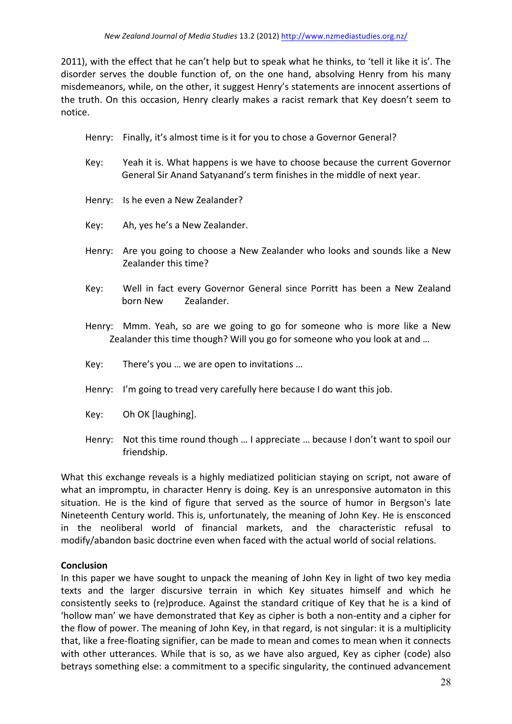2011), with the effect that he can't help but to speak what he thinks, to 'tell it like it is'. The disorder serves the double function of, on the one hand, absolving Henry from his many misdemeanors, while, on the other, it suggest Henry's statements are innocent assertions of the truth. On this occasion, Henry clearly makes a racist remark that Key doesn't seem to notice. 

- Henry: Finally, it's almost time is it for you to chose a Governor General?
- Key: Yeah it is. What happens is we have to choose because the current Governor General Sir Anand Satyanand's term finishes in the middle of next year.
- Henry: Is he even a New Zealander?
- Key: Ah, yes he's a New Zealander.
- Henry: Are you going to choose a New Zealander who looks and sounds like a New Zealander this time?
- Key: Well in fact every Governor General since Porritt has been a New Zealand born New Zealander.
- Henry: Mmm. Yeah, so are we going to go for someone who is more like a New Zealander this time though? Will you go for someone who you look at and ...
- Key: There's you ... we are open to invitations ...
- Henry: I'm going to tread very carefully here because I do want this job.
- Key: Oh OK [laughing].
- Henry: Not this time round though ... I appreciate ... because I don't want to spoil our friendship.

What this exchange reveals is a highly mediatized politician staying on script, not aware of what an impromptu, in character Henry is doing. Key is an unresponsive automaton in this situation. He is the kind of figure that served as the source of humor in Bergson's late Nineteenth Century world. This is, unfortunately, the meaning of John Key. He is ensconced in the neoliberal world of financial markets, and the characteristic refusal to modify/abandon basic doctrine even when faced with the actual world of social relations.

## **Conclusion**

In this paper we have sought to unpack the meaning of John Key in light of two key media texts and the larger discursive terrain in which Key situates himself and which he consistently seeks to (re)produce. Against the standard critique of Key that he is a kind of 'hollow man' we have demonstrated that Key as cipher is both a non-entity and a cipher for the flow of power. The meaning of John Key, in that regard, is not singular: it is a multiplicity that, like a free-floating signifier, can be made to mean and comes to mean when it connects with other utterances. While that is so, as we have also argued, Key as cipher (code) also betrays something else: a commitment to a specific singularity, the continued advancement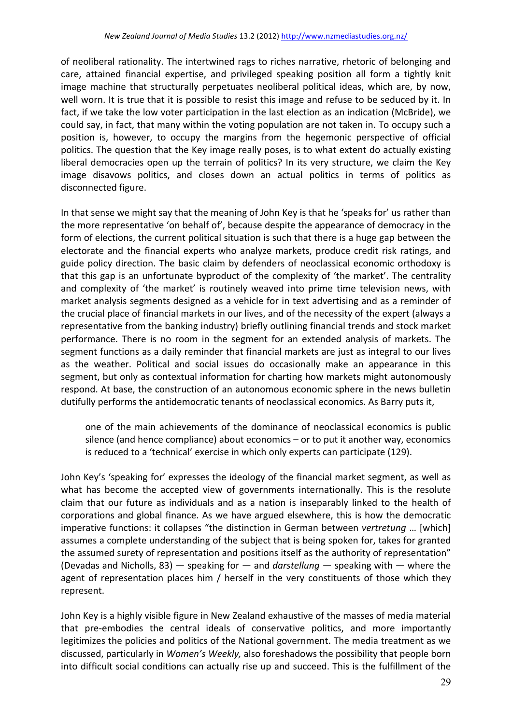of neoliberal rationality. The intertwined rags to riches narrative, rhetoric of belonging and care, attained financial expertise, and privileged speaking position all form a tightly knit image machine that structurally perpetuates neoliberal political ideas, which are, by now, well worn. It is true that it is possible to resist this image and refuse to be seduced by it. In fact, if we take the low voter participation in the last election as an indication (McBride), we could say, in fact, that many within the voting population are not taken in. To occupy such a position is, however, to occupy the margins from the hegemonic perspective of official politics. The question that the Key image really poses, is to what extent do actually existing liberal democracies open up the terrain of politics? In its very structure, we claim the Key image disavows politics, and closes down an actual politics in terms of politics as disconnected figure.

In that sense we might say that the meaning of John Key is that he 'speaks for' us rather than the more representative 'on behalf of', because despite the appearance of democracy in the form of elections, the current political situation is such that there is a huge gap between the electorate and the financial experts who analyze markets, produce credit risk ratings, and guide policy direction. The basic claim by defenders of neoclassical economic orthodoxy is that this gap is an unfortunate byproduct of the complexity of 'the market'. The centrality and complexity of 'the market' is routinely weaved into prime time television news, with market analysis segments designed as a vehicle for in text advertising and as a reminder of the crucial place of financial markets in our lives, and of the necessity of the expert (always a representative from the banking industry) briefly outlining financial trends and stock market performance. There is no room in the segment for an extended analysis of markets. The segment functions as a daily reminder that financial markets are just as integral to our lives as the weather. Political and social issues do occasionally make an appearance in this segment, but only as contextual information for charting how markets might autonomously respond. At base, the construction of an autonomous economic sphere in the news bulletin dutifully performs the antidemocratic tenants of neoclassical economics. As Barry puts it,

one of the main achievements of the dominance of neoclassical economics is public silence (and hence compliance) about economics  $-$  or to put it another way, economics is reduced to a 'technical' exercise in which only experts can participate (129).

John Key's 'speaking for' expresses the ideology of the financial market segment, as well as what has become the accepted view of governments internationally. This is the resolute claim that our future as individuals and as a nation is inseparably linked to the health of corporations and global finance. As we have argued elsewhere, this is how the democratic imperative functions: it collapses "the distinction in German between *vertretung* ... [which] assumes a complete understanding of the subject that is being spoken for, takes for granted the assumed surety of representation and positions itself as the authority of representation" (Devadas and Nicholls, 83) — speaking for — and *darstellung* — speaking with — where the agent of representation places him / herself in the very constituents of those which they represent. 

John Key is a highly visible figure in New Zealand exhaustive of the masses of media material that pre-embodies the central ideals of conservative politics, and more importantly legitimizes the policies and politics of the National government. The media treatment as we discussed, particularly in *Women's Weekly*, also foreshadows the possibility that people born into difficult social conditions can actually rise up and succeed. This is the fulfillment of the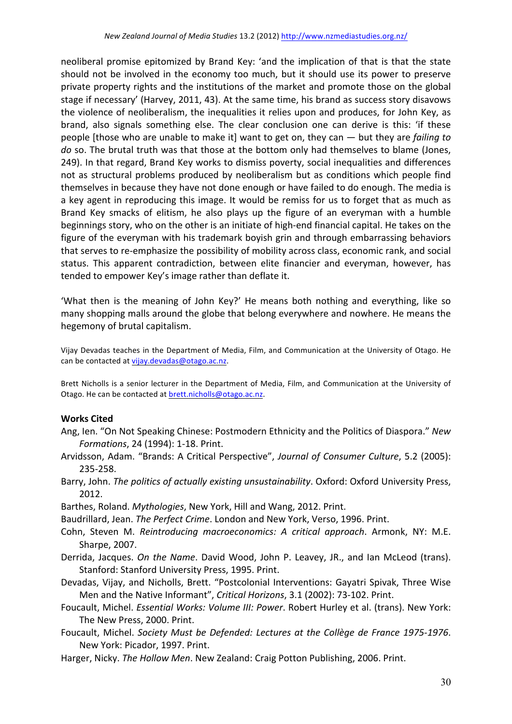neoliberal promise epitomized by Brand Key: 'and the implication of that is that the state should not be involved in the economy too much, but it should use its power to preserve private property rights and the institutions of the market and promote those on the global stage if necessary' (Harvey, 2011, 43). At the same time, his brand as success story disavows the violence of neoliberalism, the inequalities it relies upon and produces, for John Key, as brand, also signals something else. The clear conclusion one can derive is this: 'if these people [those who are unable to make it] want to get on, they can — but they are *failing to* do so. The brutal truth was that those at the bottom only had themselves to blame (Jones, 249). In that regard, Brand Key works to dismiss poverty, social inequalities and differences not as structural problems produced by neoliberalism but as conditions which people find themselves in because they have not done enough or have failed to do enough. The media is a key agent in reproducing this image. It would be remiss for us to forget that as much as Brand Key smacks of elitism, he also plays up the figure of an everyman with a humble beginnings story, who on the other is an initiate of high-end financial capital. He takes on the figure of the everyman with his trademark boyish grin and through embarrassing behaviors that serves to re-emphasize the possibility of mobility across class, economic rank, and social status. This apparent contradiction, between elite financier and everyman, however, has tended to empower Key's image rather than deflate it.

'What then is the meaning of John Key?' He means both nothing and everything, like so many shopping malls around the globe that belong everywhere and nowhere. He means the hegemony of brutal capitalism.

Vijay Devadas teaches in the Department of Media, Film, and Communication at the University of Otago. He can be contacted at vijay.devadas@otago.ac.nz.

Brett Nicholls is a senior lecturer in the Department of Media, Film, and Communication at the University of Otago. He can be contacted at brett.nicholls@otago.ac.nz.

## **Works Cited**

- Ang, Ien. "On Not Speaking Chinese: Postmodern Ethnicity and the Politics of Diaspora." New *Formations*, 24 (1994): 1-18. Print.
- Arvidsson, Adam. "Brands: A Critical Perspective", *Journal of Consumer Culture*, 5.2 (2005): 235-258.
- Barry, John. *The politics of actually existing unsustainability*. Oxford: Oxford University Press, 2012.
- Barthes, Roland. *Mythologies*, New York, Hill and Wang, 2012. Print.
- Baudrillard, Jean. The Perfect Crime. London and New York, Verso, 1996. Print.
- Cohn, Steven M. *Reintroducing macroeconomics: A critical approach*. Armonk, NY: M.E. Sharpe, 2007.
- Derrida, Jacques. On the Name. David Wood, John P. Leavey, JR., and Ian McLeod (trans). Stanford: Stanford University Press, 1995. Print.
- Devadas, Vijay, and Nicholls, Brett. "Postcolonial Interventions: Gayatri Spivak, Three Wise Men and the Native Informant", Critical Horizons, 3.1 (2002): 73-102. Print.
- Foucault, Michel. *Essential Works: Volume III: Power*. Robert Hurley et al. (trans). New York: The New Press, 2000. Print.
- Foucault, Michel. Society Must be Defended: Lectures at the Collège de France 1975-1976. New York: Picador, 1997. Print.
- Harger, Nicky. The Hollow Men. New Zealand: Craig Potton Publishing, 2006. Print.